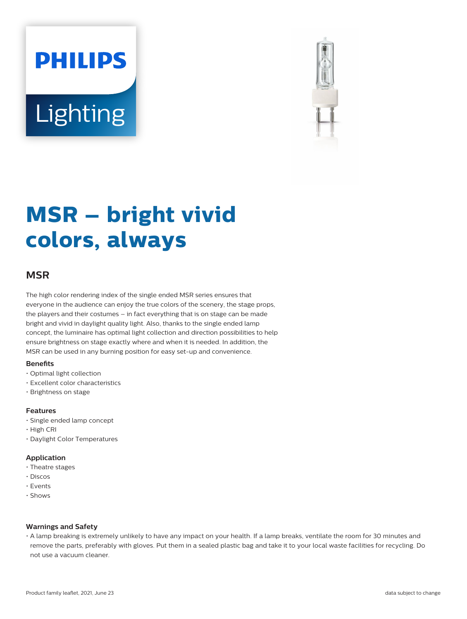# **PHILIPS** Lighting



# **MSR – bright vivid colors, always**

# **MSR**

The high color rendering index of the single ended MSR series ensures that everyone in the audience can enjoy the true colors of the scenery, the stage props, the players and their costumes – in fact everything that is on stage can be made bright and vivid in daylight quality light. Also, thanks to the single ended lamp concept, the luminaire has optimal light collection and direction possibilities to help ensure brightness on stage exactly where and when it is needed. In addition, the MSR can be used in any burning position for easy set-up and convenience.

#### **Benets**

- Optimal light collection
- Excellent color characteristics
- Brightness on stage

# **Features**

- Single ended lamp concept
- High CRI
- Daylight Color Temperatures

# **Application**

- Theatre stages
- Discos
- Events
- Shows

# **Warnings and Safety**

• A lamp breaking is extremely unlikely to have any impact on your health. If a lamp breaks, ventilate the room for 30 minutes and remove the parts, preferably with gloves. Put them in a sealed plastic bag and take it to your local waste facilities for recycling. Do not use a vacuum cleaner.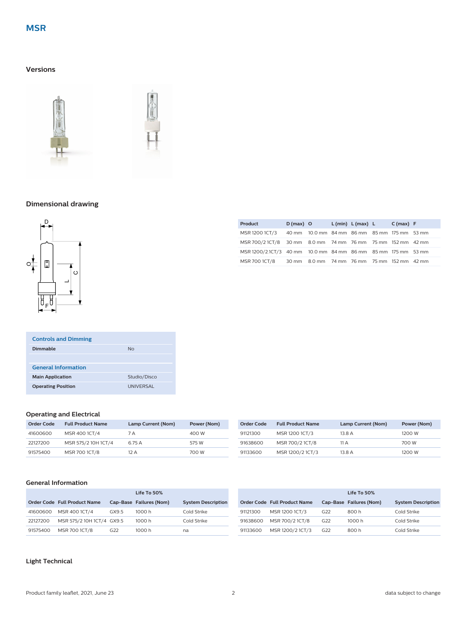# **Versions**





# **Dimensional drawing**



| <b>Controls and Dimming</b> |                  |
|-----------------------------|------------------|
| Dimmable                    | <b>No</b>        |
|                             |                  |
| <b>General Information</b>  |                  |
| <b>Main Application</b>     | Studio/Disco     |
| <b>Operating Position</b>   | <b>UNIVERSAL</b> |

#### **Operating and Electrical**

| <b>Order Code</b> | <b>Full Product Name</b> | Lamp Current (Nom) | Power (Nom) |
|-------------------|--------------------------|--------------------|-------------|
| 41600600          | MSR 400 1CT/4            | 7 A                | 400 W       |
| 22127200          | MSR 575/2 10H 1CT/4      | 6.75 A             | 575 W       |
| 91575400          | MSR 700 1CT/8            | 12 A               | 700 W       |

| Order Code | <b>Full Product Name</b> | Lamp Current (Nom) | Power (Nom) |
|------------|--------------------------|--------------------|-------------|
| 91121300   | MSR 1200 1CT/3           | 13.8 A             | 1200 W      |
| 91638600   | MSR 700/2 1CT/8          | 11 A               | 700 W       |
| 91133600   | MSR 1200/2 1CT/3         | 13.8 A             | 1200 W      |

**Product D (max) O L (min) L (max) L C (max) F** MSR 1200 1CT/3 40 mm 10.0 mm 84 mm 86 mm 85 mm 175 mm 53 mm MSR 700/2 1CT/8 30 mm 8.0 mm 74 mm 76 mm 75 mm 152 mm 42 mm MSR 1200/2.1CT/3 40 mm 10.0 mm 84 mm 86 mm 85 mm 175 mm 53 mm MSR 700 1CT/8 30 mm 8.0 mm 74 mm 76 mm 75 mm 152 mm 42 mm

# **General Information**

|          |                              |       | Life To 50%             |                           |          |                              |     | Life To 50%             |                           |
|----------|------------------------------|-------|-------------------------|---------------------------|----------|------------------------------|-----|-------------------------|---------------------------|
|          | Order Code Full Product Name |       | Cap-Base Failures (Nom) | <b>System Description</b> |          | Order Code Full Product Name |     | Cap-Base Failures (Nom) | <b>System Description</b> |
| 41600600 | MSR 400 1CT/4                | GX9.5 | 1000 h                  | Cold Strike               | 91121300 | MSR 1200 1CT/3               | G22 | 800h                    | Cold Strike               |
| 22127200 | MSR 575/2 10H 1CT/4 GX9.5    |       | 1000 h                  | Cold Strike               | 91638600 | MSR 700/2 1CT/8              | G22 | 1000 h                  | Cold Strike               |
| 91575400 | MSR 700 1CT/8                | G22   | 1000 h                  | na                        | 91133600 | MSR 1200/2 1CT/3             | G22 | 800h                    | Cold Strike               |

# **Light Technical**